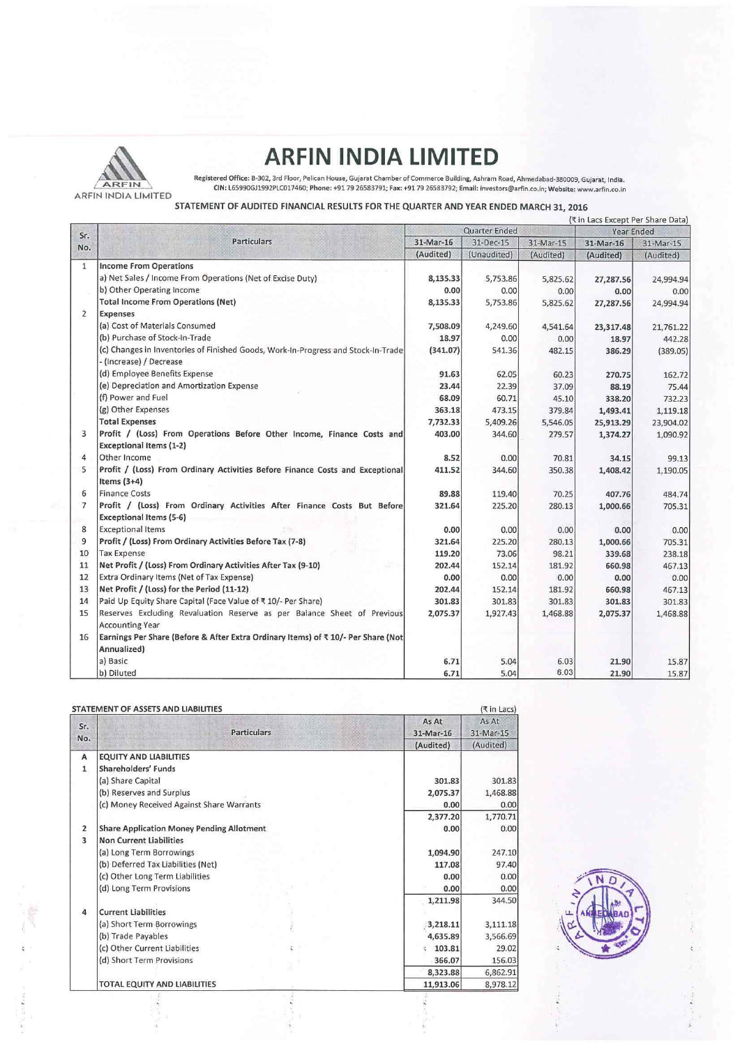

## **ARFIN INDIA LIMITED**<br>Registered Office: B-302, 3rd Floor, Pelican House, Gujarat Chamber of Commerce Building, Ashram Road, Ahmedabad-380009, Gujarat, India.

ARFIN INDIA LIMITED ON: L65990GJ1992PLC017460; Phone: +91 79 26583791; Fax: +91 79 26583792; Ema il: investors@arfin.co.ln; Website: www.arfin.co.ln

## STATEMENT OF AUDITED FINANCIAL RESULTS FOR THE QUARTER AND YEAR ENDED MARCH 31, 2016

|                |                                                                                                           | (₹ in Lacs Except Per Share Data) |                          |                        |                        |                        |
|----------------|-----------------------------------------------------------------------------------------------------------|-----------------------------------|--------------------------|------------------------|------------------------|------------------------|
| Sr.<br>No.     | <b>Particulars</b>                                                                                        | Quarter Ended                     |                          | Year Ended             |                        |                        |
|                |                                                                                                           | 31-Mar-16<br>(Audited)            | 31-Dec-15<br>(Unaudited) | 31-Mar-15<br>(Audited) | 31-Mar-16<br>(Audited) | 31-Mar-15<br>(Audited) |
|                |                                                                                                           |                                   |                          |                        |                        |                        |
|                | a) Net Sales / Income From Operations (Net of Excise Duty)                                                | 8,135.33                          | 5,753.86                 | 5,825.62               | 27,287.56              | 24,994.94              |
|                | b) Other Operating Income                                                                                 | 0.00                              | 0.00                     | 0.00                   | 0.00                   | 0.00                   |
|                | <b>Total Income From Operations (Net)</b>                                                                 | 8,135.33                          | 5,753.86                 | 5,825.62               | 27,287.56              | 24,994.94              |
| $\overline{2}$ | <b>Expenses</b>                                                                                           |                                   |                          |                        |                        |                        |
|                | (a) Cost of Materials Consumed                                                                            | 7,508.09                          | 4,249.60                 | 4,541.64               | 23,317.48              | 21,761.22              |
|                | (b) Purchase of Stock-In-Trade                                                                            | 18.97                             | 0.00                     | 0.00                   | 18.97                  | 442.28                 |
|                | (c) Changes in Inventories of Finished Goods, Work-In-Progress and Stock-In-Trade                         | (341.07)                          | 541.36                   | 482.15                 | 386.29                 | (389.05)               |
|                | - (Increase) / Decrease                                                                                   |                                   |                          |                        |                        |                        |
|                | (d) Employee Benefits Expense                                                                             | 91.63                             | 62.05                    | 60.23                  | 270.75                 | 162.72                 |
|                | (e) Depreciation and Amortization Expense                                                                 | 23.44                             | 22.39                    | 37.09                  | 88.19                  | 75.44                  |
|                | (f) Power and Fuel                                                                                        | 68.09                             | 60.71                    | 45.10                  | 338.20                 | 732.23                 |
|                | (g) Other Expenses                                                                                        | 363.18                            | 473.15                   | 379.84                 | 1,493.41               | 1,119.18               |
|                | <b>Total Expenses</b>                                                                                     | 7,732.33                          | 5,409.26                 | 5,546.05               | 25,913.29              | 23,904.02              |
| 3              | Profit / (Loss) From Operations Before Other Income, Finance Costs and                                    | 403.00                            | 344.60                   | 279.57                 | 1,374.27               | 1,090.92               |
|                | <b>Exceptional Items (1-2)</b>                                                                            |                                   |                          |                        |                        |                        |
| 4              | Other Income                                                                                              | 8.52                              | 0.00                     | 70.81                  | 34.15                  | 99.13                  |
| 5              | Profit / (Loss) From Ordinary Activities Before Finance Costs and Exceptional<br>Items $(3+4)$            | 411.52                            | 344.60                   | 350.38                 | 1,408.42               | 1,190.05               |
| 6              | <b>Finance Costs</b>                                                                                      | 89.88                             | 119.40                   | 70.25                  | 407.76                 | 484.74                 |
| $\overline{7}$ | Profit / (Loss) From Ordinary Activities After Finance Costs But Before<br><b>Exceptional Items (5-6)</b> | 321.64                            | 225.20                   | 280.13                 | 1,000.66               | 705.31                 |
| 8              | <b>Exceptional Items</b>                                                                                  | 0.00                              | 0.00                     | 0.00                   | 0.00                   | 0.00                   |
| 9              | Profit / (Loss) From Ordinary Activities Before Tax (7-8)                                                 | 321.64                            | 225.20                   | 280.13                 | 1,000.66               | 705.31                 |
| 10             | <b>Tax Expense</b>                                                                                        | 119.20                            | 73.06                    | 98.21                  | 339.68                 | 238.18                 |
| 11             | Net Profit / (Loss) From Ordinary Activities After Tax (9-10)                                             | 202.44                            | 152.14                   | 181.92                 | 660.98                 | 467.13                 |
| 12             | Extra Ordinary Items (Net of Tax Expense)                                                                 | 0.00                              | 0.00                     | 0.00                   | 0.00                   | 0.00                   |
| 13             | Net Profit / (Loss) for the Period (11-12)                                                                | 202.44                            | 152.14                   | 181.92                 | 660.98                 | 467.13                 |
| 14             | Paid Up Equity Share Capital (Face Value of ₹10/- Per Share)                                              | 301.83                            | 301.83                   | 301.83                 | 301.83                 | 301.83                 |
| 15             | Reserves Excluding Revaluation Reserve as per Balance Sheet of Previous<br><b>Accounting Year</b>         | 2,075.37                          | 1,927.43                 | 1,468.88               | 2,075.37               | 1,468.88               |
|                |                                                                                                           |                                   |                          |                        |                        |                        |
| 16             | Earnings Per Share (Before & After Extra Ordinary Items) of ₹10/- Per Share (Not<br>Annualized)           |                                   |                          |                        |                        |                        |
|                | a) Basic                                                                                                  | 6.71                              | 5.04                     | 6.03                   | 21.90                  |                        |
|                | b) Diluted                                                                                                | 6.71                              | 5.04                     | 6.03                   | 21.90                  | 15.87                  |
|                |                                                                                                           |                                   |                          |                        |                        | 15.87                  |

|                | STATEMENT OF ASSETS AND LIABILITIES              |                    | (₹ in Lacs)        |  |  |
|----------------|--------------------------------------------------|--------------------|--------------------|--|--|
| Sr.<br>No.     | <b>Particulars</b>                               | As At<br>31-Mar-16 | As At<br>31-Mar-15 |  |  |
|                |                                                  | (Audited)          | (Audited)          |  |  |
| A              | <b>EQUITY AND LIABILITIES</b>                    |                    |                    |  |  |
| 1              | Shareholders' Funds                              |                    |                    |  |  |
|                | (a) Share Capital                                | 301.83             | 301.83             |  |  |
|                | (b) Reserves and Surplus                         | 2,075.37           | 1,468.88           |  |  |
|                | (c) Money Received Against Share Warrants        | 0.00               | 0.00               |  |  |
|                |                                                  | 2,377.20           | 1,770.71           |  |  |
| $\overline{2}$ | <b>Share Application Money Pending Allotment</b> | 0.00               | 0.00               |  |  |
| 3              | <b>Non Current Liabilities</b>                   |                    |                    |  |  |
|                | (a) Long Term Borrowings                         | 1,094.90           | 247.10             |  |  |
|                | (b) Deferred Tax Liabilities (Net)               | 117.08             | 97.40              |  |  |
|                | (c) Other Long Term Liabilities                  | 0.00               | 0.00               |  |  |
|                | (d) Long Term Provisions                         | 0.00               | 0.00               |  |  |
|                |                                                  | 1,211.98           | 344.50             |  |  |
| $\overline{a}$ | <b>Current Liabilities</b>                       |                    |                    |  |  |
|                | (a) Short Term Borrowings                        | 3,218.11           | 3,111.18           |  |  |
|                | (b) Trade Payables                               | 4,635.89           | 3,566.69           |  |  |
|                | (c) Other Current Liabilities                    | 103.81             | 29.02              |  |  |
|                | (d) Short Term Provisions                        | 366.07             | 156.03             |  |  |
|                |                                                  | 8,323.88           | 6,862.91           |  |  |
|                | TOTAL EQUITY AND LIABILITIES                     | 11,913.06          | 8,978.12           |  |  |

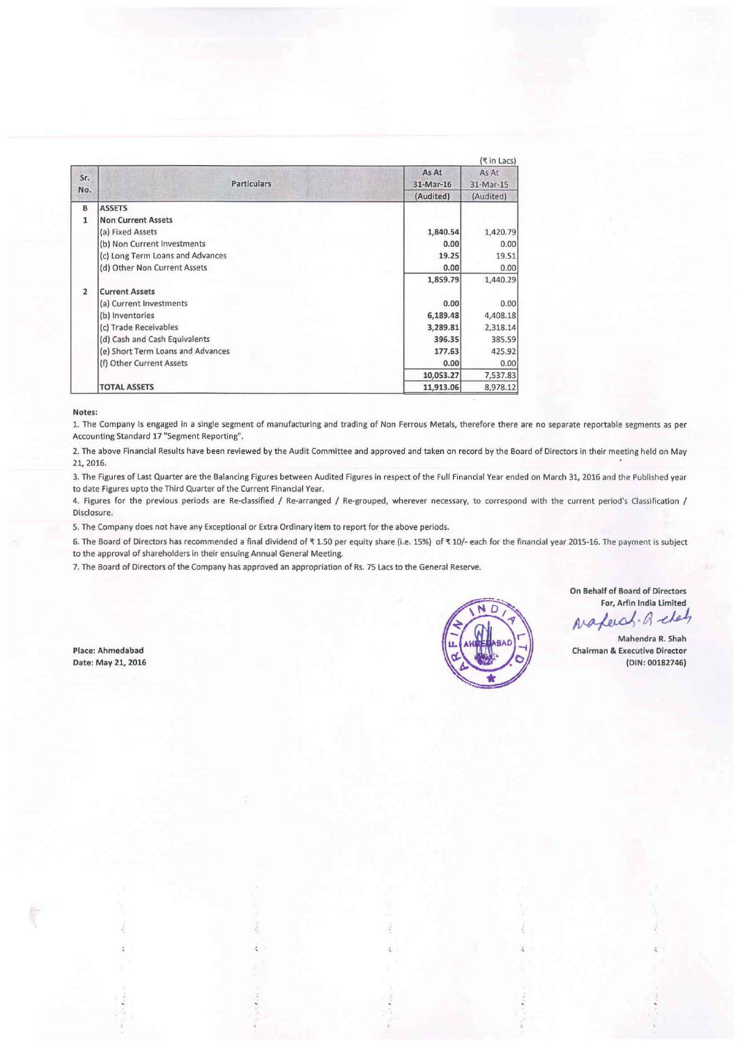|                | (₹ in Lacs)                       |                    |                    |  |  |  |  |
|----------------|-----------------------------------|--------------------|--------------------|--|--|--|--|
| Sr.<br>No.     | <b>Particulars</b>                | As At<br>31-Mar-16 | As At<br>31-Mar-15 |  |  |  |  |
|                |                                   | (Audited)          | (Audited)          |  |  |  |  |
| B              | <b>ASSETS</b>                     |                    |                    |  |  |  |  |
| $\mathbf{1}$   | <b>Non Current Assets</b>         |                    |                    |  |  |  |  |
|                | (a) Fixed Assets                  | 1,840.54           | 1,420.79           |  |  |  |  |
|                | (b) Non Current Investments       | 0.00               | 0.00               |  |  |  |  |
|                | (c) Long Term Loans and Advances  | 19.25              | 19.51              |  |  |  |  |
|                | (d) Other Non Current Assets      | 0.00               | 0.00               |  |  |  |  |
|                |                                   | 1,859.79           | 1,440.29           |  |  |  |  |
| $\overline{2}$ | <b>Current Assets</b>             |                    |                    |  |  |  |  |
|                | (a) Current Investments           | 0.00               | 0.00               |  |  |  |  |
|                | (b) Inventories                   | 6,189.48           | 4,408.18           |  |  |  |  |
|                | (c) Trade Receivables             | 3,289.81           | 2,318.14           |  |  |  |  |
|                | (d) Cash and Cash Equivalents     | 396.35             | 385.59             |  |  |  |  |
|                | (e) Short Term Loans and Advances | 177.63             | 425.92             |  |  |  |  |
|                | (f) Other Current Assets          | 0.00               | 0.00               |  |  |  |  |
|                |                                   | 10,053.27          | 7,537.83           |  |  |  |  |
|                | <b>TOTAL ASSETS</b>               | 11,913.06          | 8,978.12           |  |  |  |  |

Notes:

1. The Company is engaged in a single segment of manufacturing and trading of Non Ferrous Metals, therefore there are no separate reportable segments as per Accounting Standard 17 "Segment Reporting".

2. The above Financial Results have been reviewed by the Audit Committee and approved and taken on record by the Board of Directors in their meeting held on May 21, 2016.

3. The Figures of Last Quarter are the Balancing Figures between Audited Figures in respect of the Full Financial Year ended on March 31, 2016 and the Published year to date Figures upto the Third Quarter of the Current Financial Year.

4. Figures for the previous periods are Re-classified / Re-arranged / Re-grouped, wherever necessary, to correspond with the current period's Classification / Disclosure.

5. The Company does not have any Exceptional or Extra Ordinary item to report for the above periods.

6. The Board of Directors has recommended a final dividend of ₹1.50 per equity share (i.e. 15%) of ₹10/- each for the financial year 2015-16. The payment is subject to the approval of shareholders in their ensuing Annual General Meeting.

 $\lambda$ 

7. The Board of Directors of the Company has approved an appropriation of Rs. 75 Lacs to the General Reserve.

Place: Ahmedabad Date: May 21, 2016



On Behalf of Board of Directors For, Arfin India Limited

Naferal. Q chetz

Mahendra R. Shah Chairman & Executive Director (DIN: 00182746)